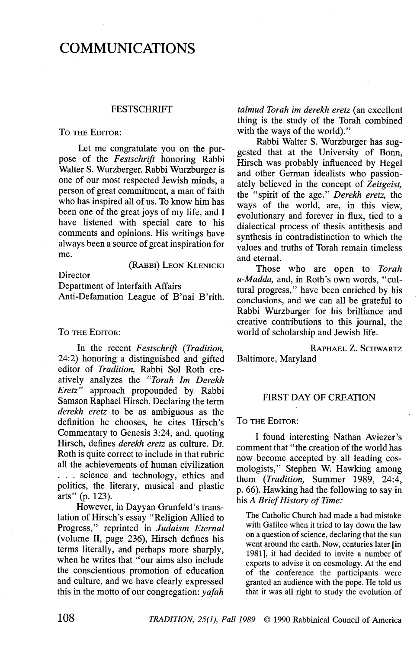# COMMUNICATIONS

## **FESTSCHRIFT**

#### TO THE EDITOR:

Let me congratulate you on the purpose of the Festschrift honoring Rabbi Walter S. Wurzberger. Rabbi Wurzburger is one of our most respected Jewish minds, a person of great commitment, a man of faith who has inspired all of us. To know him has been one of the great joys of my life, and I have listened with special care to his comments and opinions. His writings have always been a source of great inspiration for me.

(RABBI) LEON KLENICKI

**Director** 

Department of Interfaith Affairs

Anti-Defamation League of B'nai B'rith.

#### To THE EDITOR:

In the recent Festschrift (Tradition, 24:2) honoring a distinguished and gifted editor of Tradition, Rabbi Sol Roth creatively analyzes the "Torah 1m Derekh Eretz" approach propounded by Rabbi Samson Raphael Hirsch. Declaring the term derekh eretz to be as ambiguous as the definition he chooses, he cites Hirsch's Commentary to Genesis 3:24, and, quoting Hirsch, defines derekh eretz as culture. Dr. Roth is quite correct to include in that rubric all the achievements of human civilization ... science and technology, ethics and politics, the literary, musical and plastic arts" (p. 123).

However, in Dayyan Grunfeld's translation of Hirsch's essay "Religion Allied to Progress," reprinted in Judaism Eternal (volume II, page 236), Hirsch defines his terms literally, and perhaps more sharply, when he writes that "our aims also include the conscientious promotion of education and culture, and we have clearly expressed this in the motto of our congregation:  $\alpha$ *fah* 

talmud Torah im derekh eretz (an excellent thing is the study of the Torah combined with the ways of the world)."

Rabbi Walter S. Wurzburger has suggested that at the University of Bonn, Hirsch was probably influenced by Hegel and other German idealists who passionately believed in the concept of Zeitgeist, the "spirit of the age." Derekh eretz, the ways of the world, are, in this view, evolutionary and forever in flux, tied to a dialectical process of thesis antithesis and synthesis in contradistinction to which the values and truths of Torah remain timeless and eternal.

Those who are open to Torah u-Madda, and, in Roth's own words, "cultural progress," have been enriched by his conclusions, and we can all be grateful to Rabbi Wurzburger for his brilliance and creative contributions to this journal, the world of scholarship and Jewish life.

RAPHAEL Z. SCHWARTZ

Baltimore, Maryland

## FIRST DAY OF CREATION

## To THE EDITOR:

I found interesting Nathan Aviezer's comment that "the creation of the world has now become accepted by all leading cosmologists," Stephen W. Hawking among them (Tradition, Summer 1989, 24:4, p. 66). Hawking had the following to say in his A Brief History of Time:

The Catholic Church had made a bad mistake with Galileo when it tried to lay down the law on a question of science, declaring that the sun went around the earth. Now, centuries later (in 1981], it had decided to invite a number of experts to advise it on cosmology. At the end of the conference the participants were granted an audience with the pope. He told us that it was all right to study the evolution of